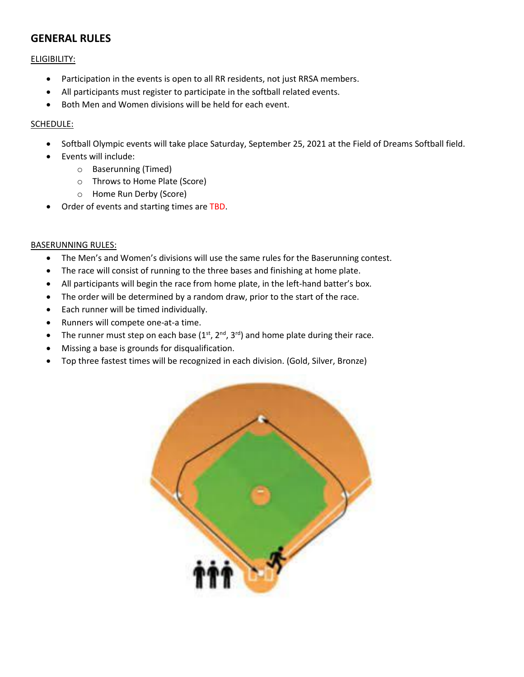# **GENERAL RULES**

ELIGIBILITY:

- Participation in the events is open to all RR residents, not just RRSA members.
- All participants must register to participate in the softball related events.
- Both Men and Women divisions will be held for each event.

## SCHEDULE:

- Softball Olympic events will take place Saturday, September 25, 2021 at the Field of Dreams Softball field.
- Events will include:
	- o Baserunning (Timed)
	- o Throws to Home Plate (Score)
	- o Home Run Derby (Score)
- Order of events and starting times are TBD.

### BASERUNNING RULES:

- The Men's and Women's divisions will use the same rules for the Baserunning contest.
- The race will consist of running to the three bases and finishing at home plate.
- All participants will begin the race from home plate, in the left-hand batter's box.
- The order will be determined by a random draw, prior to the start of the race.
- Each runner will be timed individually.
- Runners will compete one-at-a time.
- The runner must step on each base  $(1<sup>st</sup>, 2<sup>nd</sup>, 3<sup>rd</sup>)$  and home plate during their race.
- Missing a base is grounds for disqualification.
- Top three fastest times will be recognized in each division. (Gold, Silver, Bronze)

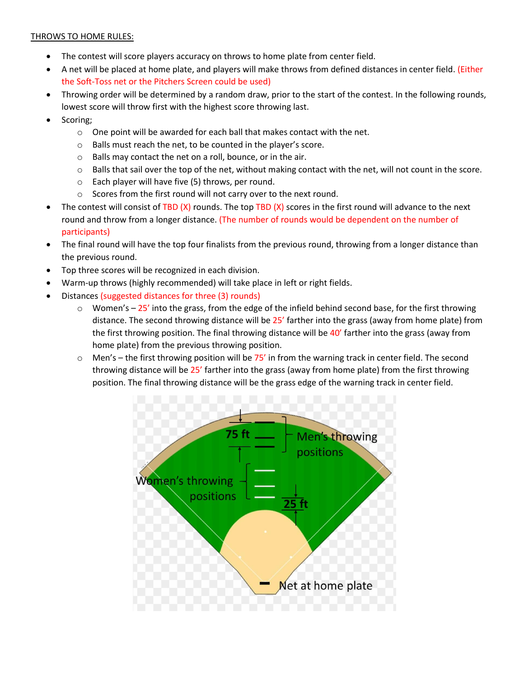### THROWS TO HOME RULES:

- The contest will score players accuracy on throws to home plate from center field.
- A net will be placed at home plate, and players will make throws from defined distances in center field. (Either the Soft-Toss net or the Pitchers Screen could be used)
- Throwing order will be determined by a random draw, prior to the start of the contest. In the following rounds, lowest score will throw first with the highest score throwing last.
- Scoring;
	- o One point will be awarded for each ball that makes contact with the net.
	- o Balls must reach the net, to be counted in the player's score.
	- o Balls may contact the net on a roll, bounce, or in the air.
	- o Balls that sail over the top of the net, without making contact with the net, will not count in the score.
	- o Each player will have five (5) throws, per round.
	- o Scores from the first round will not carry over to the next round.
- The contest will consist of TBD  $(X)$  rounds. The top TBD  $(X)$  scores in the first round will advance to the next round and throw from a longer distance. (The number of rounds would be dependent on the number of participants)
- The final round will have the top four finalists from the previous round, throwing from a longer distance than the previous round.
- Top three scores will be recognized in each division.
- Warm-up throws (highly recommended) will take place in left or right fields.
- Distances (suggested distances for three (3) rounds)
	- $\circ$  Women's 25' into the grass, from the edge of the infield behind second base, for the first throwing distance. The second throwing distance will be 25' farther into the grass (away from home plate) from the first throwing position. The final throwing distance will be 40' farther into the grass (away from home plate) from the previous throwing position.
	- $\circ$  Men's the first throwing position will be 75' in from the warning track in center field. The second throwing distance will be 25' farther into the grass (away from home plate) from the first throwing position. The final throwing distance will be the grass edge of the warning track in center field.